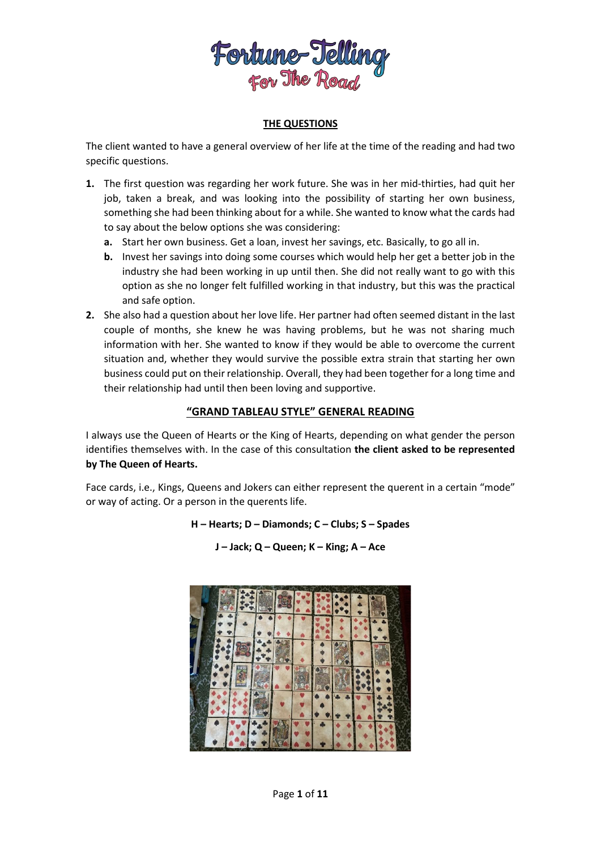

## **THE QUESTIONS**

The client wanted to have a general overview of her life at the time of the reading and had two specific questions.

- **1.** The first question was regarding her work future. She was in her mid-thirties, had quit her job, taken a break, and was looking into the possibility of starting her own business, something she had been thinking about for a while. She wanted to know what the cards had to say about the below options she was considering:
	- **a.** Start her own business. Get a loan, invest her savings, etc. Basically, to go all in.
	- **b.** Invest her savings into doing some courses which would help her get a better job in the industry she had been working in up until then. She did not really want to go with this option as she no longer felt fulfilled working in that industry, but this was the practical and safe option.
- **2.** She also had a question about her love life. Her partner had often seemed distant in the last couple of months, she knew he was having problems, but he was not sharing much information with her. She wanted to know if they would be able to overcome the current situation and, whether they would survive the possible extra strain that starting her own business could put on their relationship. Overall, they had been together for a long time and their relationship had until then been loving and supportive.

### **"GRAND TABLEAU STYLE" GENERAL READING**

I always use the Queen of Hearts or the King of Hearts, depending on what gender the person identifies themselves with. In the case of this consultation **the client asked to be represented by The Queen of Hearts.**

Face cards, i.e., Kings, Queens and Jokers can either represent the querent in a certain "mode" or way of acting. Or a person in the querents life.



**J – Jack; Q – Queen; K – King; A – Ace**

**H – Hearts; D – Diamonds; C – Clubs; S – Spades**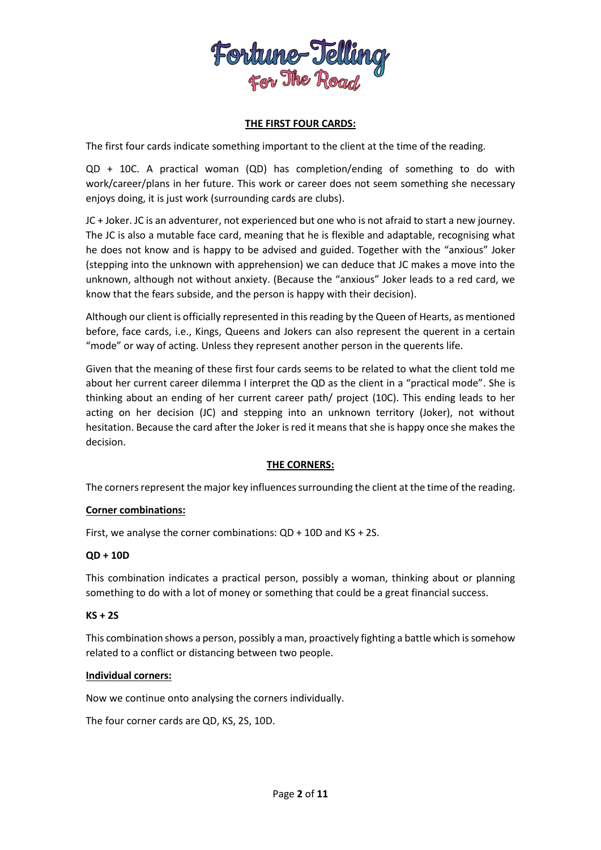

### **THE FIRST FOUR CARDS:**

The first four cards indicate something important to the client at the time of the reading.

QD + 10C. A practical woman (QD) has completion/ending of something to do with work/career/plans in her future. This work or career does not seem something she necessary enjoys doing, it is just work (surrounding cards are clubs).

JC + Joker. JC is an adventurer, not experienced but one who is not afraid to start a new journey. The JC is also a mutable face card, meaning that he is flexible and adaptable, recognising what he does not know and is happy to be advised and guided. Together with the "anxious" Joker (stepping into the unknown with apprehension) we can deduce that JC makes a move into the unknown, although not without anxiety. (Because the "anxious" Joker leads to a red card, we know that the fears subside, and the person is happy with their decision).

Although our client is officially represented in this reading by the Queen of Hearts, as mentioned before, face cards, i.e., Kings, Queens and Jokers can also represent the querent in a certain "mode" or way of acting. Unless they represent another person in the querents life.

Given that the meaning of these first four cards seems to be related to what the client told me about her current career dilemma I interpret the QD as the client in a "practical mode". She is thinking about an ending of her current career path/ project (10C). This ending leads to her acting on her decision (JC) and stepping into an unknown territory (Joker), not without hesitation. Because the card after the Joker is red it means that she is happy once she makes the decision.

## **THE CORNERS:**

The corners represent the major key influences surrounding the client at the time of the reading.

#### **Corner combinations:**

First, we analyse the corner combinations: QD + 10D and KS + 2S.

#### **QD + 10D**

This combination indicates a practical person, possibly a woman, thinking about or planning something to do with a lot of money or something that could be a great financial success.

#### **KS + 2S**

This combination shows a person, possibly a man, proactively fighting a battle which is somehow related to a conflict or distancing between two people.

#### **Individual corners:**

Now we continue onto analysing the corners individually.

The four corner cards are QD, KS, 2S, 10D.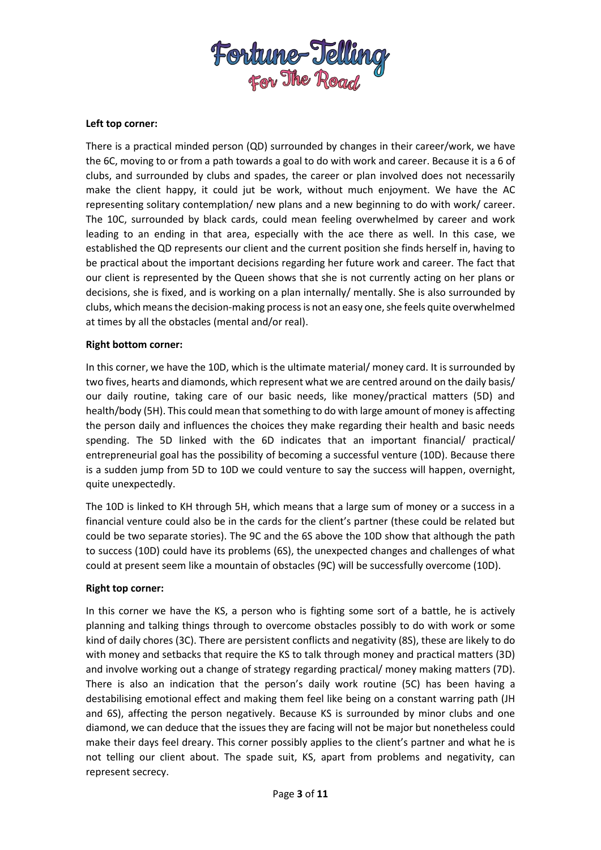

#### **Left top corner:**

There is a practical minded person (QD) surrounded by changes in their career/work, we have the 6C, moving to or from a path towards a goal to do with work and career. Because it is a 6 of clubs, and surrounded by clubs and spades, the career or plan involved does not necessarily make the client happy, it could jut be work, without much enjoyment. We have the AC representing solitary contemplation/ new plans and a new beginning to do with work/ career. The 10C, surrounded by black cards, could mean feeling overwhelmed by career and work leading to an ending in that area, especially with the ace there as well. In this case, we established the QD represents our client and the current position she finds herself in, having to be practical about the important decisions regarding her future work and career. The fact that our client is represented by the Queen shows that she is not currently acting on her plans or decisions, she is fixed, and is working on a plan internally/ mentally. She is also surrounded by clubs, which means the decision-making process is not an easy one, she feels quite overwhelmed at times by all the obstacles (mental and/or real).

#### **Right bottom corner:**

In this corner, we have the 10D, which is the ultimate material/ money card. It is surrounded by two fives, hearts and diamonds, which represent what we are centred around on the daily basis/ our daily routine, taking care of our basic needs, like money/practical matters (5D) and health/body (5H). This could mean that something to do with large amount of money is affecting the person daily and influences the choices they make regarding their health and basic needs spending. The 5D linked with the 6D indicates that an important financial/ practical/ entrepreneurial goal has the possibility of becoming a successful venture (10D). Because there is a sudden jump from 5D to 10D we could venture to say the success will happen, overnight, quite unexpectedly.

The 10D is linked to KH through 5H, which means that a large sum of money or a success in a financial venture could also be in the cards for the client's partner (these could be related but could be two separate stories). The 9C and the 6S above the 10D show that although the path to success (10D) could have its problems (6S), the unexpected changes and challenges of what could at present seem like a mountain of obstacles (9C) will be successfully overcome (10D).

#### **Right top corner:**

In this corner we have the KS, a person who is fighting some sort of a battle, he is actively planning and talking things through to overcome obstacles possibly to do with work or some kind of daily chores (3C). There are persistent conflicts and negativity (8S), these are likely to do with money and setbacks that require the KS to talk through money and practical matters (3D) and involve working out a change of strategy regarding practical/ money making matters (7D). There is also an indication that the person's daily work routine (5C) has been having a destabilising emotional effect and making them feel like being on a constant warring path (JH and 6S), affecting the person negatively. Because KS is surrounded by minor clubs and one diamond, we can deduce that the issues they are facing will not be major but nonetheless could make their days feel dreary. This corner possibly applies to the client's partner and what he is not telling our client about. The spade suit, KS, apart from problems and negativity, can represent secrecy.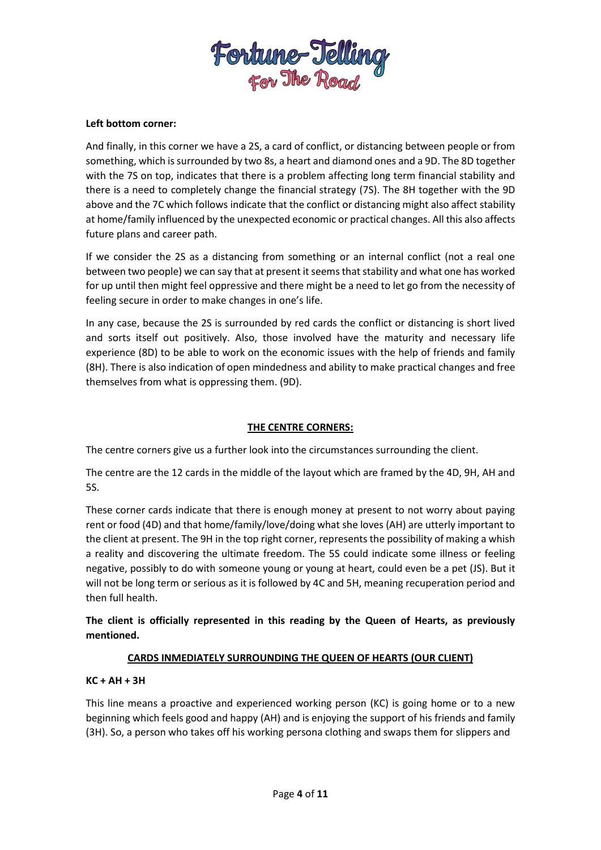

#### **Left bottom corner:**

And finally, in this corner we have a 2S, a card of conflict, or distancing between people or from something, which is surrounded by two 8s, a heart and diamond ones and a 9D. The 8D together with the 7S on top, indicates that there is a problem affecting long term financial stability and there is a need to completely change the financial strategy (7S). The 8H together with the 9D above and the 7C which follows indicate that the conflict or distancing might also affect stability at home/family influenced by the unexpected economic or practical changes. All this also affects future plans and career path.

If we consider the 2S as a distancing from something or an internal conflict (not a real one between two people) we can say that at present it seems that stability and what one has worked for up until then might feel oppressive and there might be a need to let go from the necessity of feeling secure in order to make changes in one's life.

In any case, because the 2S is surrounded by red cards the conflict or distancing is short lived and sorts itself out positively. Also, those involved have the maturity and necessary life experience (8D) to be able to work on the economic issues with the help of friends and family (8H). There is also indication of open mindedness and ability to make practical changes and free themselves from what is oppressing them. (9D).

### **THE CENTRE CORNERS:**

The centre corners give us a further look into the circumstances surrounding the client.

The centre are the 12 cards in the middle of the layout which are framed by the 4D, 9H, AH and 5S.

These corner cards indicate that there is enough money at present to not worry about paying rent or food (4D) and that home/family/love/doing what she loves (AH) are utterly important to the client at present. The 9H in the top right corner, represents the possibility of making a whish a reality and discovering the ultimate freedom. The 5S could indicate some illness or feeling negative, possibly to do with someone young or young at heart, could even be a pet (JS). But it will not be long term or serious as it is followed by 4C and 5H, meaning recuperation period and then full health.

**The client is officially represented in this reading by the Queen of Hearts, as previously mentioned.**

## **CARDS INMEDIATELY SURROUNDING THE QUEEN OF HEARTS (OUR CLIENT)**

#### **KC + AH + 3H**

This line means a proactive and experienced working person (KC) is going home or to a new beginning which feels good and happy (AH) and is enjoying the support of his friends and family (3H). So, a person who takes off his working persona clothing and swaps them for slippers and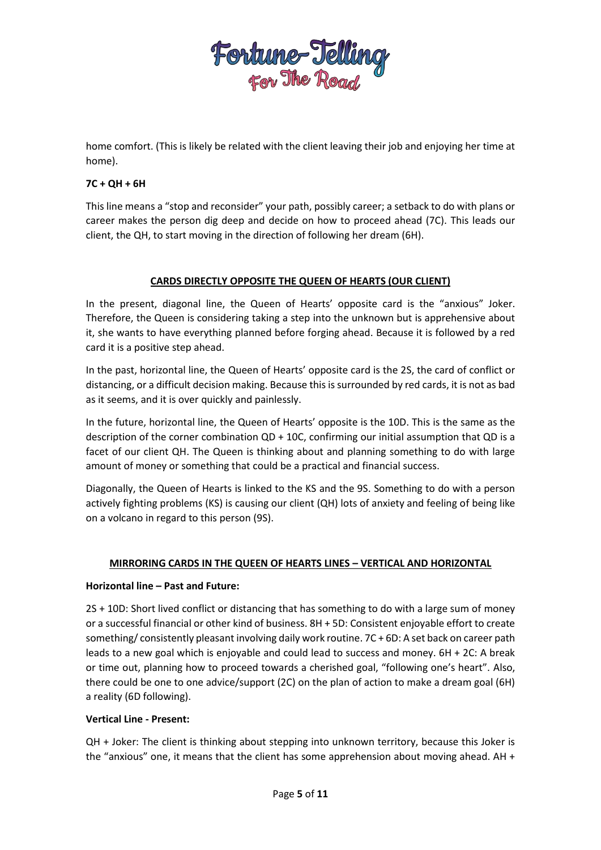

home comfort. (This is likely be related with the client leaving their job and enjoying her time at home).

### **7C + QH + 6H**

This line means a "stop and reconsider" your path, possibly career; a setback to do with plans or career makes the person dig deep and decide on how to proceed ahead (7C). This leads our client, the QH, to start moving in the direction of following her dream (6H).

### **CARDS DIRECTLY OPPOSITE THE QUEEN OF HEARTS (OUR CLIENT)**

In the present, diagonal line, the Queen of Hearts' opposite card is the "anxious" Joker. Therefore, the Queen is considering taking a step into the unknown but is apprehensive about it, she wants to have everything planned before forging ahead. Because it is followed by a red card it is a positive step ahead.

In the past, horizontal line, the Queen of Hearts' opposite card is the 2S, the card of conflict or distancing, or a difficult decision making. Because this is surrounded by red cards, it is not as bad as it seems, and it is over quickly and painlessly.

In the future, horizontal line, the Queen of Hearts' opposite is the 10D. This is the same as the description of the corner combination QD + 10C, confirming our initial assumption that QD is a facet of our client QH. The Queen is thinking about and planning something to do with large amount of money or something that could be a practical and financial success.

Diagonally, the Queen of Hearts is linked to the KS and the 9S. Something to do with a person actively fighting problems (KS) is causing our client (QH) lots of anxiety and feeling of being like on a volcano in regard to this person (9S).

## **MIRRORING CARDS IN THE QUEEN OF HEARTS LINES – VERTICAL AND HORIZONTAL**

#### **Horizontal line – Past and Future:**

2S + 10D: Short lived conflict or distancing that has something to do with a large sum of money or a successful financial or other kind of business. 8H + 5D: Consistent enjoyable effort to create something/ consistently pleasant involving daily work routine. 7C + 6D: A set back on career path leads to a new goal which is enjoyable and could lead to success and money. 6H + 2C: A break or time out, planning how to proceed towards a cherished goal, "following one's heart". Also, there could be one to one advice/support (2C) on the plan of action to make a dream goal (6H) a reality (6D following).

#### **Vertical Line - Present:**

QH + Joker: The client is thinking about stepping into unknown territory, because this Joker is the "anxious" one, it means that the client has some apprehension about moving ahead. AH +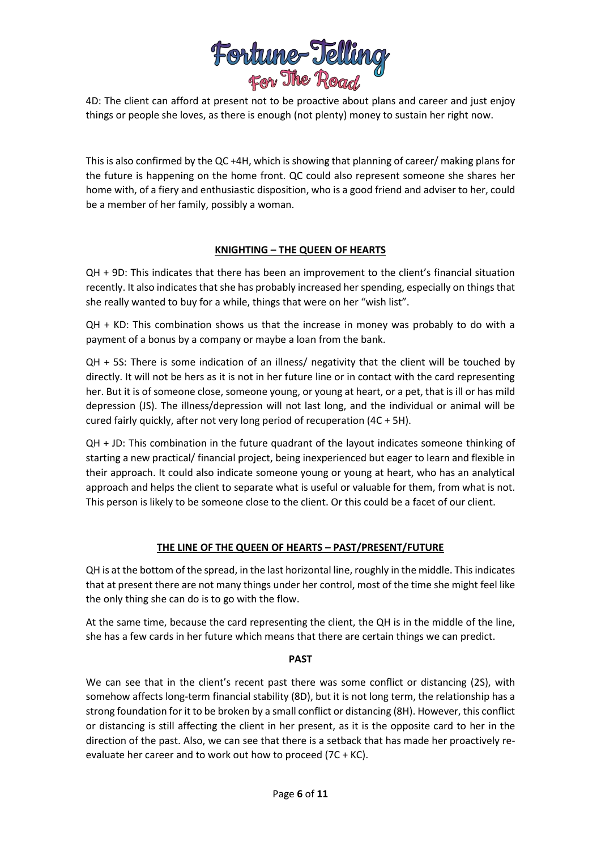

4D: The client can afford at present not to be proactive about plans and career and just enjoy things or people she loves, as there is enough (not plenty) money to sustain her right now.

This is also confirmed by the QC +4H, which is showing that planning of career/ making plans for the future is happening on the home front. QC could also represent someone she shares her home with, of a fiery and enthusiastic disposition, who is a good friend and adviser to her, could be a member of her family, possibly a woman.

### **KNIGHTING – THE QUEEN OF HEARTS**

QH + 9D: This indicates that there has been an improvement to the client's financial situation recently. It also indicates that she has probably increased her spending, especially on things that she really wanted to buy for a while, things that were on her "wish list".

QH + KD: This combination shows us that the increase in money was probably to do with a payment of a bonus by a company or maybe a loan from the bank.

QH + 5S: There is some indication of an illness/ negativity that the client will be touched by directly. It will not be hers as it is not in her future line or in contact with the card representing her. But it is of someone close, someone young, or young at heart, or a pet, that is ill or has mild depression (JS). The illness/depression will not last long, and the individual or animal will be cured fairly quickly, after not very long period of recuperation (4C + 5H).

QH + JD: This combination in the future quadrant of the layout indicates someone thinking of starting a new practical/ financial project, being inexperienced but eager to learn and flexible in their approach. It could also indicate someone young or young at heart, who has an analytical approach and helps the client to separate what is useful or valuable for them, from what is not. This person is likely to be someone close to the client. Or this could be a facet of our client.

## **THE LINE OF THE QUEEN OF HEARTS – PAST/PRESENT/FUTURE**

QH is at the bottom of the spread, in the last horizontal line, roughly in the middle. This indicates that at present there are not many things under her control, most of the time she might feel like the only thing she can do is to go with the flow.

At the same time, because the card representing the client, the QH is in the middle of the line, she has a few cards in her future which means that there are certain things we can predict.

#### **PAST**

We can see that in the client's recent past there was some conflict or distancing (2S), with somehow affects long-term financial stability (8D), but it is not long term, the relationship has a strong foundation for it to be broken by a small conflict or distancing (8H). However, this conflict or distancing is still affecting the client in her present, as it is the opposite card to her in the direction of the past. Also, we can see that there is a setback that has made her proactively reevaluate her career and to work out how to proceed (7C + KC).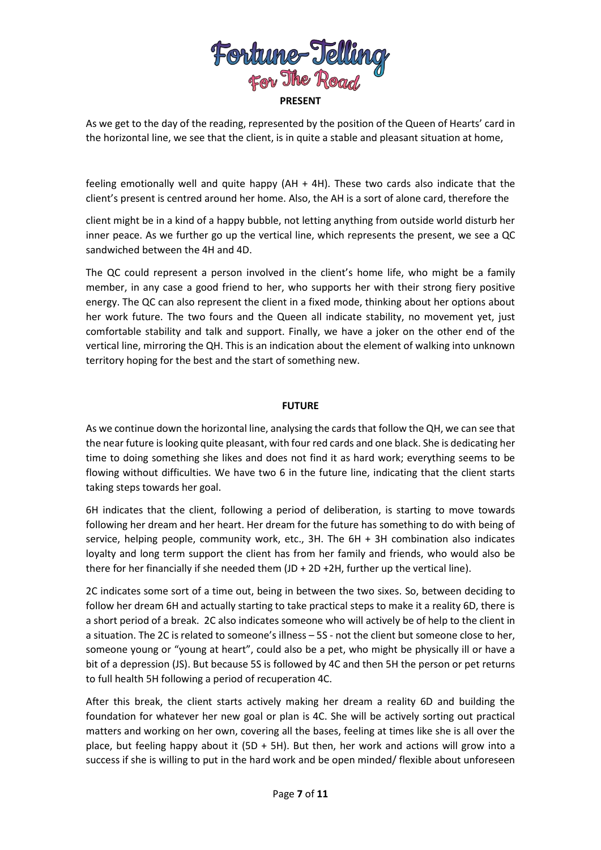

As we get to the day of the reading, represented by the position of the Queen of Hearts' card in the horizontal line, we see that the client, is in quite a stable and pleasant situation at home,

feeling emotionally well and quite happy (AH + 4H). These two cards also indicate that the client's present is centred around her home. Also, the AH is a sort of alone card, therefore the

client might be in a kind of a happy bubble, not letting anything from outside world disturb her inner peace. As we further go up the vertical line, which represents the present, we see a QC sandwiched between the 4H and 4D.

The QC could represent a person involved in the client's home life, who might be a family member, in any case a good friend to her, who supports her with their strong fiery positive energy. The QC can also represent the client in a fixed mode, thinking about her options about her work future. The two fours and the Queen all indicate stability, no movement yet, just comfortable stability and talk and support. Finally, we have a joker on the other end of the vertical line, mirroring the QH. This is an indication about the element of walking into unknown territory hoping for the best and the start of something new.

### **FUTURE**

As we continue down the horizontal line, analysing the cards that follow the QH, we can see that the near future is looking quite pleasant, with four red cards and one black. She is dedicating her time to doing something she likes and does not find it as hard work; everything seems to be flowing without difficulties. We have two 6 in the future line, indicating that the client starts taking steps towards her goal.

6H indicates that the client, following a period of deliberation, is starting to move towards following her dream and her heart. Her dream for the future has something to do with being of service, helping people, community work, etc., 3H. The 6H + 3H combination also indicates loyalty and long term support the client has from her family and friends, who would also be there for her financially if she needed them (JD + 2D +2H, further up the vertical line).

2C indicates some sort of a time out, being in between the two sixes. So, between deciding to follow her dream 6H and actually starting to take practical steps to make it a reality 6D, there is a short period of a break. 2C also indicates someone who will actively be of help to the client in a situation. The 2C is related to someone's illness – 5S - not the client but someone close to her, someone young or "young at heart", could also be a pet, who might be physically ill or have a bit of a depression (JS). But because 5S is followed by 4C and then 5H the person or pet returns to full health 5H following a period of recuperation 4C.

After this break, the client starts actively making her dream a reality 6D and building the foundation for whatever her new goal or plan is 4C. She will be actively sorting out practical matters and working on her own, covering all the bases, feeling at times like she is all over the place, but feeling happy about it (5D + 5H). But then, her work and actions will grow into a success if she is willing to put in the hard work and be open minded/ flexible about unforeseen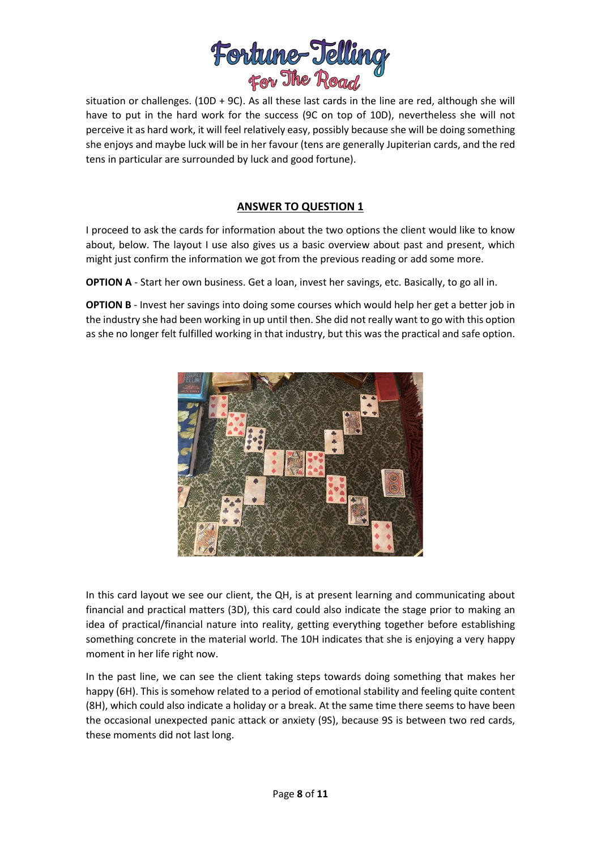

situation or challenges. (10D + 9C). As all these last cards in the line are red, although she will have to put in the hard work for the success (9C on top of 10D), nevertheless she will not perceive it as hard work, it will feel relatively easy, possibly because she will be doing something she enjoys and maybe luck will be in her favour (tens are generally Jupiterian cards, and the red tens in particular are surrounded by luck and good fortune).

# **ANSWER TO QUESTION 1**

I proceed to ask the cards for information about the two options the client would like to know about, below. The layout I use also gives us a basic overview about past and present, which might just confirm the information we got from the previous reading or add some more.

**OPTION A** - Start her own business. Get a loan, invest her savings, etc. Basically, to go all in.

**OPTION B** - Invest her savings into doing some courses which would help her get a better job in the industry she had been working in up until then. She did not really want to go with this option as she no longer felt fulfilled working in that industry, but this was the practical and safe option.



In this card layout we see our client, the QH, is at present learning and communicating about financial and practical matters (3D), this card could also indicate the stage prior to making an idea of practical/financial nature into reality, getting everything together before establishing something concrete in the material world. The 10H indicates that she is enjoying a very happy moment in her life right now.

In the past line, we can see the client taking steps towards doing something that makes her happy (6H). This is somehow related to a period of emotional stability and feeling quite content (8H), which could also indicate a holiday or a break. At the same time there seems to have been the occasional unexpected panic attack or anxiety (9S), because 9S is between two red cards, these moments did not last long.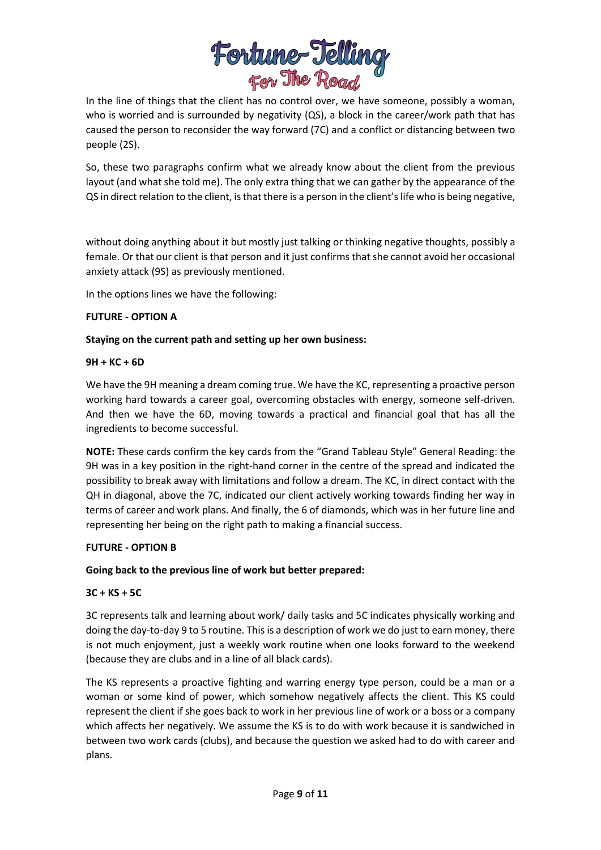

In the line of things that the client has no control over, we have someone, possibly a woman, who is worried and is surrounded by negativity (QS), a block in the career/work path that has caused the person to reconsider the way forward (7C) and a conflict or distancing between two people (2S).

So, these two paragraphs confirm what we already know about the client from the previous layout (and what she told me). The only extra thing that we can gather by the appearance of the QS in direct relation to the client, is that there is a person in the client's life who is being negative,

without doing anything about it but mostly just talking or thinking negative thoughts, possibly a female. Or that our client is that person and it just confirms that she cannot avoid her occasional anxiety attack (9S) as previously mentioned.

In the options lines we have the following:

### **FUTURE - OPTION A**

### **Staying on the current path and setting up her own business:**

### **9H + KC + 6D**

We have the 9H meaning a dream coming true. We have the KC, representing a proactive person working hard towards a career goal, overcoming obstacles with energy, someone self-driven. And then we have the 6D, moving towards a practical and financial goal that has all the ingredients to become successful.

**NOTE:** These cards confirm the key cards from the "Grand Tableau Style" General Reading: the 9H was in a key position in the right-hand corner in the centre of the spread and indicated the possibility to break away with limitations and follow a dream. The KC, in direct contact with the QH in diagonal, above the 7C, indicated our client actively working towards finding her way in terms of career and work plans. And finally, the 6 of diamonds, which was in her future line and representing her being on the right path to making a financial success.

## **FUTURE - OPTION B**

## **Going back to the previous line of work but better prepared:**

## **3C + KS + 5C**

3C represents talk and learning about work/ daily tasks and 5C indicates physically working and doing the day-to-day 9 to 5 routine. This is a description of work we do just to earn money, there is not much enjoyment, just a weekly work routine when one looks forward to the weekend (because they are clubs and in a line of all black cards).

The KS represents a proactive fighting and warring energy type person, could be a man or a woman or some kind of power, which somehow negatively affects the client. This KS could represent the client if she goes back to work in her previous line of work or a boss or a company which affects her negatively. We assume the KS is to do with work because it is sandwiched in between two work cards (clubs), and because the question we asked had to do with career and plans.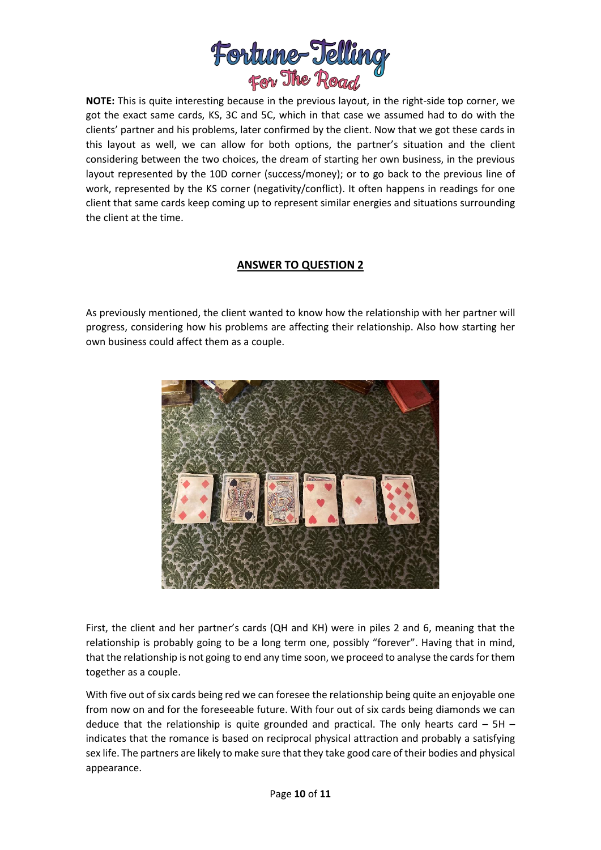

**NOTE:** This is quite interesting because in the previous layout, in the right-side top corner, we got the exact same cards, KS, 3C and 5C, which in that case we assumed had to do with the clients' partner and his problems, later confirmed by the client. Now that we got these cards in this layout as well, we can allow for both options, the partner's situation and the client considering between the two choices, the dream of starting her own business, in the previous layout represented by the 10D corner (success/money); or to go back to the previous line of work, represented by the KS corner (negativity/conflict). It often happens in readings for one client that same cards keep coming up to represent similar energies and situations surrounding the client at the time.

## **ANSWER TO QUESTION 2**

As previously mentioned, the client wanted to know how the relationship with her partner will progress, considering how his problems are affecting their relationship. Also how starting her own business could affect them as a couple.



First, the client and her partner's cards (QH and KH) were in piles 2 and 6, meaning that the relationship is probably going to be a long term one, possibly "forever". Having that in mind, that the relationship is not going to end any time soon, we proceed to analyse the cards for them together as a couple.

With five out of six cards being red we can foresee the relationship being quite an enjoyable one from now on and for the foreseeable future. With four out of six cards being diamonds we can deduce that the relationship is quite grounded and practical. The only hearts card  $-5H$ indicates that the romance is based on reciprocal physical attraction and probably a satisfying sex life. The partners are likely to make sure that they take good care of their bodies and physical appearance.